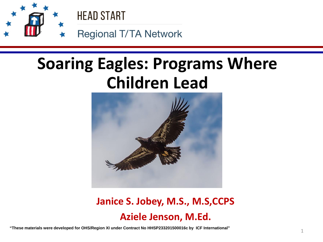

## **Soaring Eagles: Programs Where Children Lead**



### **Janice S. Jobey, M.S., M.S,CCPS Aziele Jenson, M.Ed.**

1 **"These materials were developed for OHS/Region XI under Contract No HHSP233201500016c by ICF International"**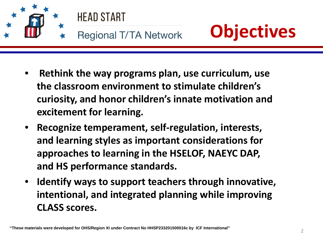





- **Rethink the way programs plan, use curriculum, use the classroom environment to stimulate children's curiosity, and honor children's innate motivation and excitement for learning.**
- **and learning styles as important considerations for**  • **Recognize temperament, self-regulation, interests, approaches to learning in the HSELOF, NAEYC DAP, and HS performance standards.**
- **Identify ways to support teachers through innovative, intentional, and integrated planning while improving CLASS scores.**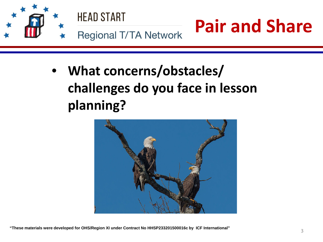

• **What concerns/obstacles/ challenges do you face in lesson planning?**

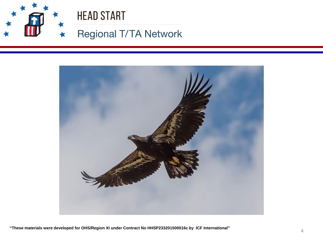

## **HEAD START**

### Regional T/TA Network

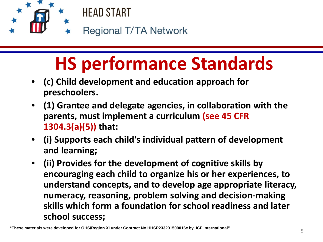

### **Regional T/TA Network**

# **HS performance Standards**

- **(c) Child development and education approach for preschoolers.**
- **(1) Grantee and delegate agencies, in collaboration with the parents, must implement a curriculum (see 45 CFR 1304.3(a)(5)) that:**
- • **(i) Supports each child's individual pattern of development and learning;**
- **(ii) Provides for the development of cognitive skills by encouraging each child to organize his or her experiences, to understand concepts, and to develop age appropriate literacy, numeracy, reasoning, problem solving and decision-making skills which form a foundation for school readiness and later school success;**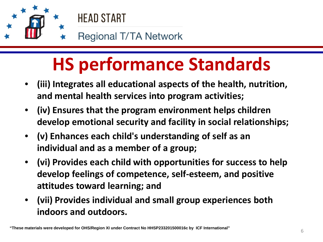

# **HS performance Standards**

- **(iii) Integrates all educational aspects of the health, nutrition, and mental health services into program activities;**
- **(iv) Ensures that the program environment helps children develop emotional security and facility in social relationships;**
- **individual and as a member of a group;**  • **(v) Enhances each child's understanding of self as an**
- **(vi) Provides each child with opportunities for success to help develop feelings of competence, self-esteem, and positive attitudes toward learning; and**
- **(vii) Provides individual and small group experiences both indoors and outdoors.**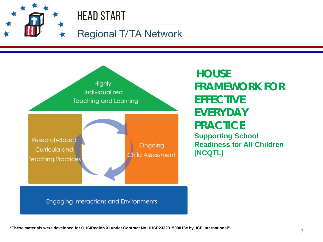## **HEAD START**

### **Regional T/TA Network**



**HOUSE FRAMEWORK FOR EFFECTIVE EVERYDAY PRACTICE Supporting School Readiness for All Children (NCQTL)**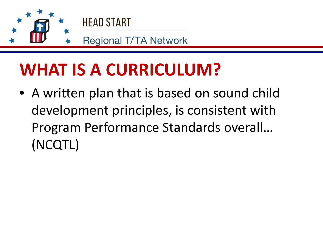

## **WHAT IS A CURRICULUM?**

• A written plan that is based on sound child development principles, is consistent with Program Performance Standards overall… (NCQTL)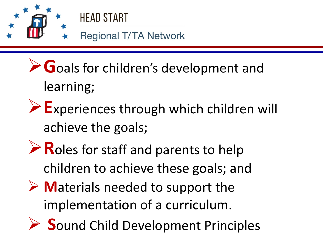

## **HEAD START**

- **Regional T/TA Network**
- **G**oals for children's development and learning;
- **E**xperiences through which children will achieve the goals;
- **Roles for staff and parents to help** children to achieve these goals; and
- **M**aterials needed to support the implementation of a curriculum.
- **► Sound Child Development Principles**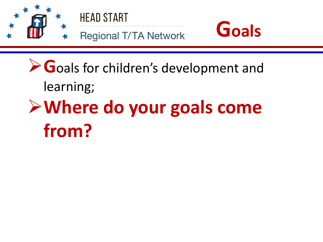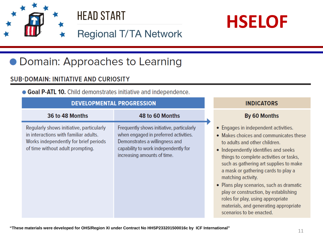





**INDICATORS** 

### **Regional T/TA Network**

### • Domain: Approaches to Learning

#### **SUB-DOMAIN: INITIATIVE AND CURIOSITY**

• Goal P-ATL 10. Child demonstrates initiative and independence.

**DEVELODMENTAL DDOCDECCIOL** 

| DEVELOPMENTAL PROGRESSION                                                                                                                                      |                                                                                                                                                                                             | <b>INDICAIURS</b>                                                                                                                                                                                                                                                                                                                                                                                                                                                                                        |
|----------------------------------------------------------------------------------------------------------------------------------------------------------------|---------------------------------------------------------------------------------------------------------------------------------------------------------------------------------------------|----------------------------------------------------------------------------------------------------------------------------------------------------------------------------------------------------------------------------------------------------------------------------------------------------------------------------------------------------------------------------------------------------------------------------------------------------------------------------------------------------------|
| 36 to 48 Months                                                                                                                                                | 48 to 60 Months                                                                                                                                                                             | By 60 Months                                                                                                                                                                                                                                                                                                                                                                                                                                                                                             |
| Regularly shows initiative, particularly<br>in interactions with familiar adults.<br>Works independently for brief periods<br>of time without adult prompting. | Frequently shows initiative, particularly<br>when engaged in preferred activities.<br>Demonstrates a willingness and<br>capability to work independently for<br>increasing amounts of time. | • Engages in independent activities.<br>• Makes choices and communicates these<br>to adults and other children.<br>• Independently identifies and seeks<br>things to complete activities or tasks,<br>such as gathering art supplies to make<br>a mask or gathering cards to play a<br>matching activity.<br>• Plans play scenarios, such as dramatic<br>play or construction, by establishing<br>roles for play, using appropriate<br>materials, and generating appropriate<br>scenarios to be enacted. |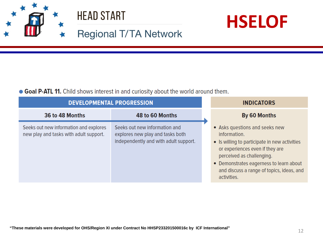





### **Regional T/TA Network**

#### • Goal P-ATL 11. Child shows interest in and curiosity about the world around them.

| <b>DEVELOPMENTAL PROGRESSION</b>                                                 |                                                                                                            | <b>INDICATORS</b>                                                                                                                                                                                                                                                      |
|----------------------------------------------------------------------------------|------------------------------------------------------------------------------------------------------------|------------------------------------------------------------------------------------------------------------------------------------------------------------------------------------------------------------------------------------------------------------------------|
| 36 to 48 Months                                                                  | 48 to 60 Months                                                                                            | By 60 Months                                                                                                                                                                                                                                                           |
| Seeks out new information and explores<br>new play and tasks with adult support. | Seeks out new information and<br>explores new play and tasks both<br>independently and with adult support. | • Asks questions and seeks new<br>information.<br>• Is willing to participate in new activities<br>or experiences even if they are<br>perceived as challenging.<br>• Demonstrates eagerness to learn about<br>and discuss a range of topics, ideas, and<br>activities. |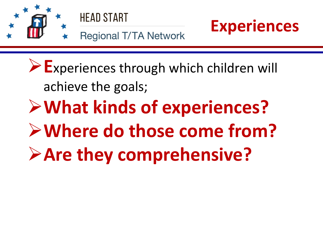



**Regional T/TA Network** 

**E**xperiences through which children will achieve the goals; **What kinds of experiences? Where do those come from? Are they comprehensive?**

**Experiences**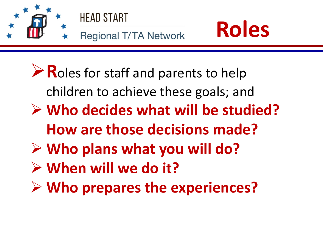

- **Who plans what you will do?**
- **When will we do it?**
- **Who prepares the experiences?**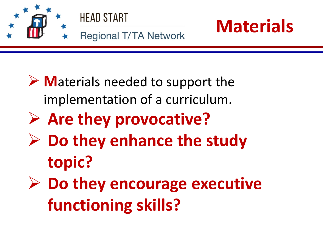

- **► Materials needed to support the** implementation of a curriculum.
- **Are they provocative?**
- **Do they enhance the study topic?**
- **Do they encourage executive functioning skills?**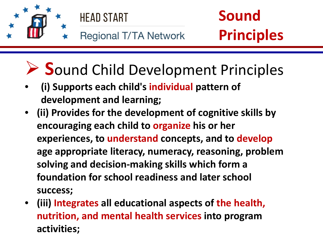

# **S**ound Child Development Principles

- **(i) Supports each child's individual pattern of development and learning;**
- **(ii) Provides for the development of cognitive skills by encouraging each child to organize his or her experiences, to understand concepts, and to develop age appropriate literacy, numeracy, reasoning, problem solving and decision-making skills which form a foundation for school readiness and later school success;**
- **(iii) Integrates all educational aspects of the health, nutrition, and mental health services into program activities;**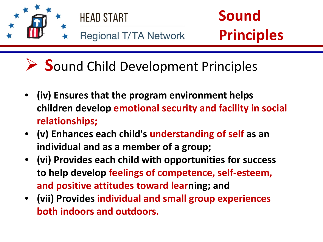

**Sound Child Development Principles** 

- **(iv) Ensures that the program environment helps children develop emotional security and facility in social relationships;**
- **(v) Enhances each child's understanding of self as an individual and as a member of a group;**
- **(vi) Provides each child with opportunities for success to help develop feelings of competence, self-esteem, and positive attitudes toward learning; and**
- **(vii) Provides individual and small group experiences both indoors and outdoors.**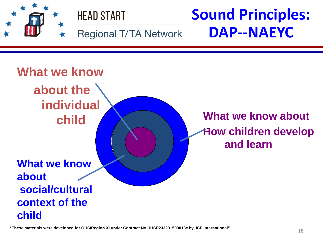

18 **"These materials were developed for OHS/Region XI under Contract No HHSP233201500016c by ICF International"**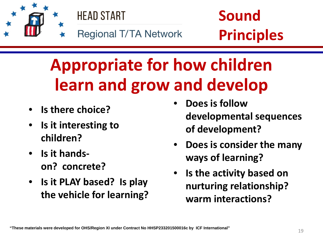



# **Appropriate for how children learn and grow and develop**

- **Is there choice?**
- **Is it interesting to children?**
- **Is it handson? concrete?**
- **Is it PLAY based? Is play the vehicle for learning?**
- **Does is follow developmental sequences of development?**
- **Does is consider the many ways of learning?**
- **Is the activity based on nurturing relationship? warm interactions?**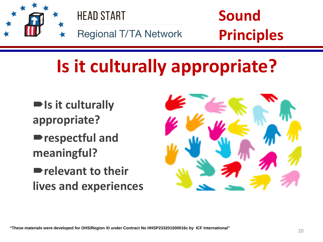

# **Is it culturally appropriate?**

- **Is it culturally appropriate?**
- **respectful and meaningful?**
- **relevant to their lives and experiences**

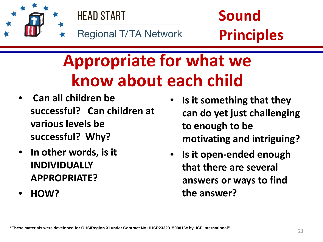



# **Appropriate for what we know about each child**

- **Can all children be successful? Can children at various levels be successful? Why?**
- **In other words, is it INDIVIDUALLY APPROPRIATE?**
- **HOW?**
- **Is it something that they can do yet just challenging to enough to be motivating and intriguing?**
- **Is it open-ended enough that there are several answers or ways to find the answer?**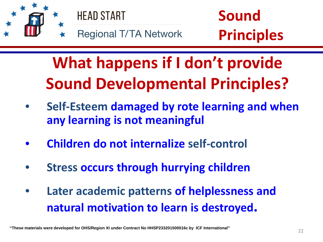

**What happens if I don't provide Sound Developmental Principles?**

- **Self-Esteem damaged by rote learning and when any learning is not meaningful**
- **Children do not internalize self-control**
- **Stress occurs through hurrying children**
- **Later academic patterns of helplessness and natural motivation to learn is destroyed.**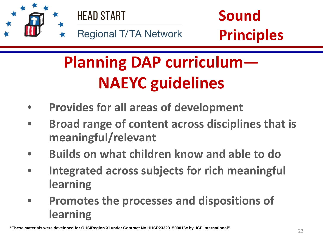

# **Planning DAP curriculum— NAEYC guidelines**

- **Provides for all areas of development**
- $\overline{\phantom{0}}$ • **Broad range of content across disciplines that is meaningful/relevant**
- **Builds on what children know and able to do**
- **Integrated across subjects for rich meaningful learning**
- **Promotes the processes and dispositions of learning**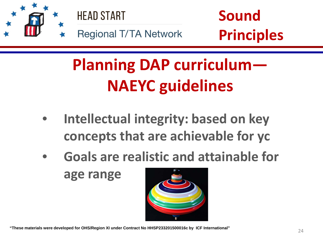

# **Planning DAP curriculum— NAEYC guidelines**

- |<br>| • **Intellectual integrity: based on key concepts that are achievable for yc**
- **Goals are realistic and attainable for**

**age range**



24 **"These materials were developed for OHS/Region XI under Contract No HHSP233201500016c by ICF International"**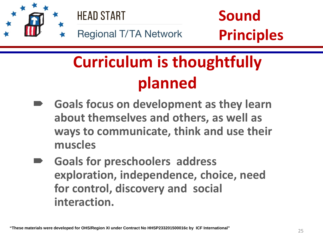

# **Curriculum is thoughtfully planned**

- **Goals focus on development as they learn about themselves and others, as well as ways to communicate, think and use their muscles**
- **Goals for preschoolers address exploration, independence, choice, need for control, discovery and social interaction.**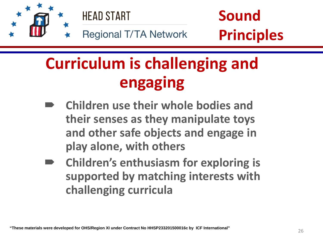

## **Curriculum is challenging and engaging**

- **play alone, with others Children use their whole bodies and their senses as they manipulate toys and other safe objects and engage in**
- **Children's enthusiasm for exploring is supported by matching interests with challenging curricula**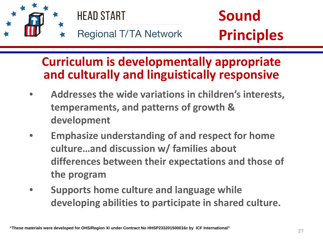

## **Curriculum is developmentally appropriate and culturally and linguistically responsive**

- **Addresses the wide variations in children's interests, temperaments, and patterns of growth & development**
- **culture…and discussion w/ families about**  • **Emphasize understanding of and respect for home differences between their expectations and those of the program**
- **Supports home culture and language while developing abilities to participate in shared culture.**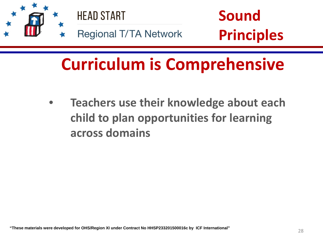

• **Teachers use their knowledge about each child to plan opportunities for learning across domains**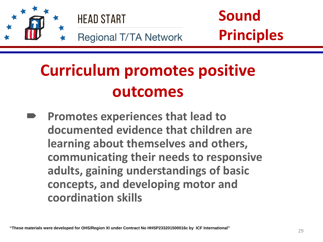

# **Curriculum promotes positive outcomes**

 **learning about themselves and others, Promotes experiences that lead to documented evidence that children are communicating their needs to responsive adults, gaining understandings of basic concepts, and developing motor and coordination skills**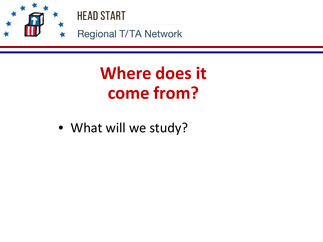

# **Where does it come from?**

• What will we study?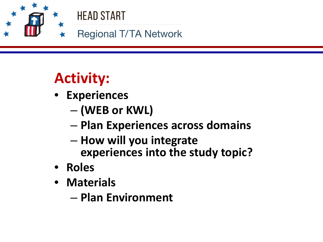

## **HEAD START**

**Regional T/TA Network** 

## **Activity:**

- **Experiences** 
	- **(WEB or KWL)**
	- **Plan Experiences across domains**
	- **How will you integrate experiences into the study topic?**
- **Roles**
- **Materials**
	- **Plan Environment**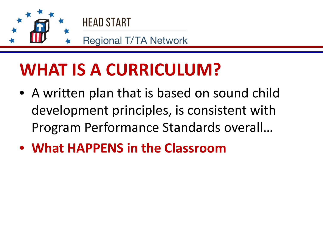

## **WHAT IS A CURRICULUM?**

- A written plan that is based on sound child development principles, is consistent with Program Performance Standards overall…
- **What HAPPENS in the Classroom**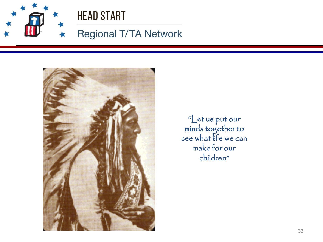

### **Regional T/TA Network**



"Let us put our minds together to see what life we can make for our children"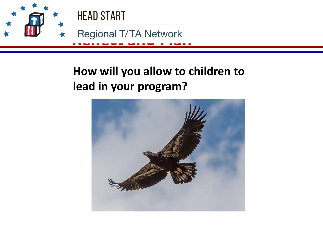

## **How will you allow to children to lead in your program?**